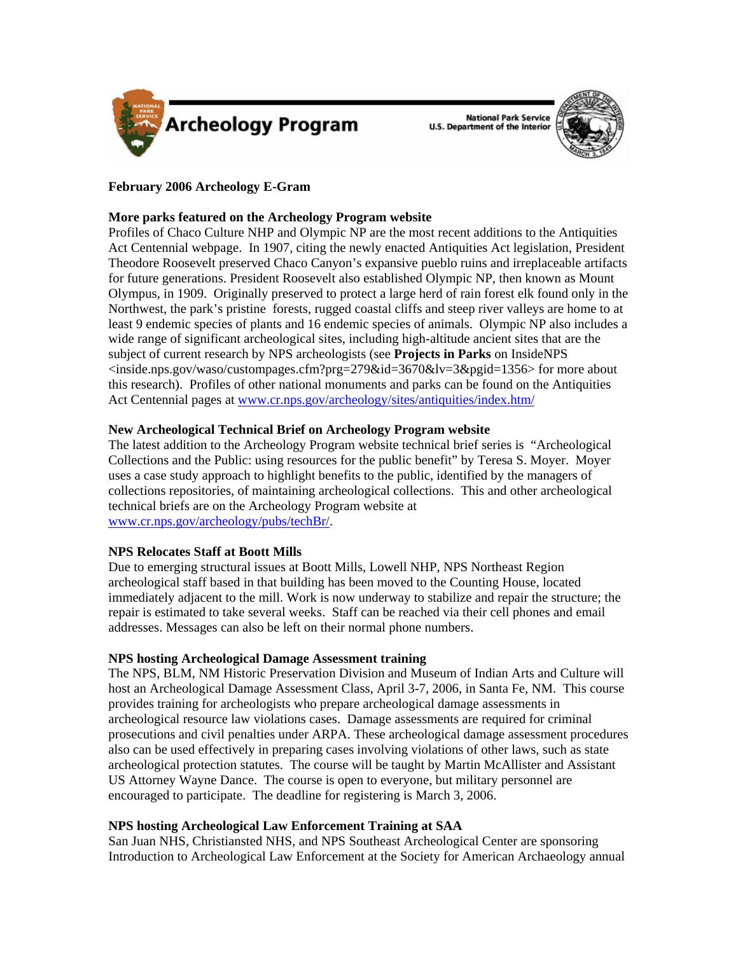



# **February 2006 Archeology E-Gram**

## **More parks featured on the Archeology Program website**

Profiles of Chaco Culture NHP and Olympic NP are the most recent additions to the Antiquities Act Centennial webpage. In 1907, citing the newly enacted Antiquities Act legislation, President Theodore Roosevelt preserved Chaco Canyon's expansive pueblo ruins and irreplaceable artifacts for future generations. President Roosevelt also established Olympic NP, then known as Mount Olympus, in 1909. Originally preserved to protect a large herd of rain forest elk found only in the Northwest, the park's pristine forests, rugged coastal cliffs and steep river valleys are home to at least 9 endemic species of plants and 16 endemic species of animals. Olympic NP also includes a wide range of significant archeological sites, including high-altitude ancient sites that are the subject of current research by NPS archeologists (see **Projects in Parks** on InsideNPS <inside.nps.gov/waso/custompages.cfm?prg=279&id=3670&lv=3&pgid=1356> for more about this research). Profiles of other national monuments and parks can be found on the Antiquities Act Centennial pages at [www.cr.nps.gov/archeology/sites/antiquities/index.htm/](http://www.cr.nps.gov/archeology/sites/antiquities/index.htm)

## **New Archeological Technical Brief on Archeology Program website**

The latest addition to the Archeology Program website technical brief series is "Archeological Collections and the Public: using resources for the public benefit" by Teresa S. Moyer. Moyer uses a case study approach to highlight benefits to the public, identified by the managers of collections repositories, of maintaining archeological collections. This and other archeological technical briefs are on the Archeology Program website at [www.cr.nps.gov/archeology/pubs/techBr/.](http://www.cr.nps.gov/archeology/pubs/techBr/)

## **NPS Relocates Staff at Boott Mills**

Due to emerging structural issues at Boott Mills, Lowell NHP, NPS Northeast Region archeological staff based in that building has been moved to the Counting House, located immediately adjacent to the mill. Work is now underway to stabilize and repair the structure; the repair is estimated to take several weeks. Staff can be reached via their cell phones and email addresses. Messages can also be left on their normal phone numbers.

# **NPS hosting Archeological Damage Assessment training**

The NPS, BLM, NM Historic Preservation Division and Museum of Indian Arts and Culture will host an Archeological Damage Assessment Class, April 3-7, 2006, in Santa Fe, NM. This course provides training for archeologists who prepare archeological damage assessments in archeological resource law violations cases. Damage assessments are required for criminal prosecutions and civil penalties under ARPA. These archeological damage assessment procedures also can be used effectively in preparing cases involving violations of other laws, such as state archeological protection statutes. The course will be taught by Martin McAllister and Assistant US Attorney Wayne Dance. The course is open to everyone, but military personnel are encouraged to participate. The deadline for registering is March 3, 2006.

# **NPS hosting Archeological Law Enforcement Training at SAA**

San Juan NHS, Christiansted NHS, and NPS Southeast Archeological Center are sponsoring Introduction to Archeological Law Enforcement at the Society for American Archaeology annual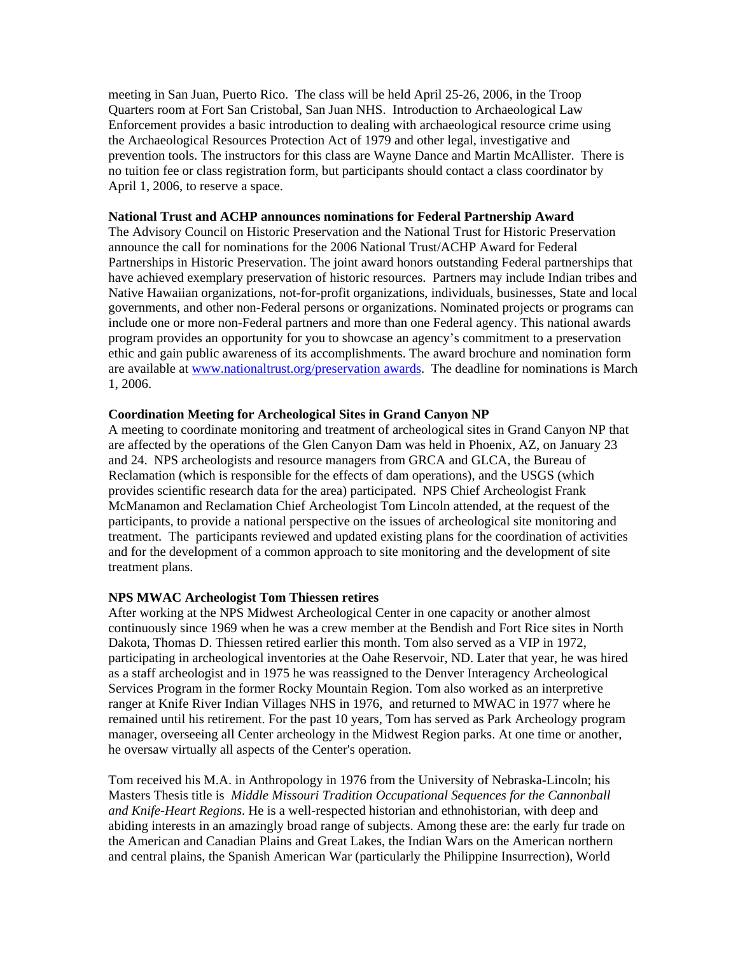meeting in San Juan, Puerto Rico. The class will be held April 25-26, 2006, in the Troop Quarters room at Fort San Cristobal, San Juan NHS. Introduction to Archaeological Law Enforcement provides a basic introduction to dealing with archaeological resource crime using the Archaeological Resources Protection Act of 1979 and other legal, investigative and prevention tools. The instructors for this class are Wayne Dance and Martin McAllister. There is no tuition fee or class registration form, but participants should contact a class coordinator by April 1, 2006, to reserve a space.

#### **National Trust and ACHP announces nominations for Federal Partnership Award**

The Advisory Council on Historic Preservation and the National Trust for Historic Preservation announce the call for nominations for the 2006 National Trust/ACHP Award for Federal Partnerships in Historic Preservation. The joint award honors outstanding Federal partnerships that have achieved exemplary preservation of historic resources. Partners may include Indian tribes and Native Hawaiian organizations, not-for-profit organizations, individuals, businesses, State and local governments, and other non-Federal persons or organizations. Nominated projects or programs can include one or more non-Federal partners and more than one Federal agency. This national awards program provides an opportunity for you to showcase an agency's commitment to a preservation ethic and gain public awareness of its accomplishments. The award brochure and nomination form are available at [www.nationaltrust.org/preservation awards.](http://www.nationaltrust.org/news/2006/20060117_npa.html) The deadline for nominations is March 1, 2006.

### **Coordination Meeting for Archeological Sites in Grand Canyon NP**

A meeting to coordinate monitoring and treatment of archeological sites in Grand Canyon NP that are affected by the operations of the Glen Canyon Dam was held in Phoenix, AZ, on January 23 and 24. NPS archeologists and resource managers from GRCA and GLCA, the Bureau of Reclamation (which is responsible for the effects of dam operations), and the USGS (which provides scientific research data for the area) participated. NPS Chief Archeologist Frank McManamon and Reclamation Chief Archeologist Tom Lincoln attended, at the request of the participants, to provide a national perspective on the issues of archeological site monitoring and treatment. The participants reviewed and updated existing plans for the coordination of activities and for the development of a common approach to site monitoring and the development of site treatment plans.

### **NPS MWAC Archeologist Tom Thiessen retires**

After working at the NPS Midwest Archeological Center in one capacity or another almost continuously since 1969 when he was a crew member at the Bendish and Fort Rice sites in North Dakota, Thomas D. Thiessen retired earlier this month. Tom also served as a VIP in 1972, participating in archeological inventories at the Oahe Reservoir, ND. Later that year, he was hired as a staff archeologist and in 1975 he was reassigned to the Denver Interagency Archeological Services Program in the former Rocky Mountain Region. Tom also worked as an interpretive ranger at Knife River Indian Villages NHS in 1976, and returned to MWAC in 1977 where he remained until his retirement. For the past 10 years, Tom has served as Park Archeology program manager, overseeing all Center archeology in the Midwest Region parks. At one time or another, he oversaw virtually all aspects of the Center's operation.

Tom received his M.A. in Anthropology in 1976 from the University of Nebraska-Lincoln; his Masters Thesis title is *Middle Missouri Tradition Occupational Sequences for the Cannonball and Knife-Heart Regions*. He is a well-respected historian and ethnohistorian, with deep and abiding interests in an amazingly broad range of subjects. Among these are: the early fur trade on the American and Canadian Plains and Great Lakes, the Indian Wars on the American northern and central plains, the Spanish American War (particularly the Philippine Insurrection), World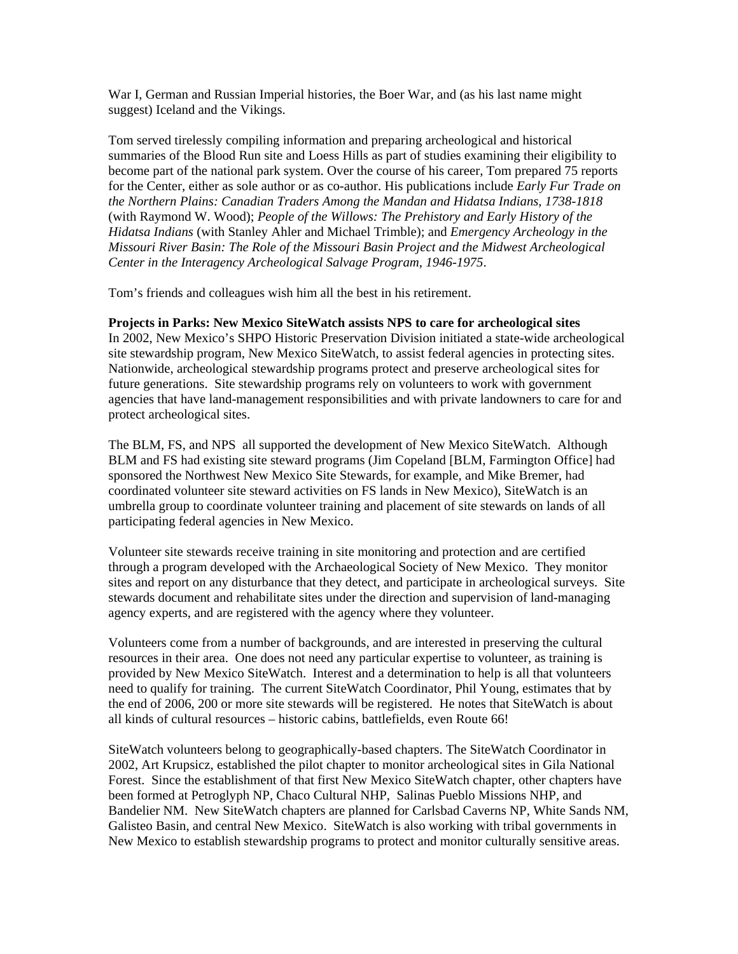War I, German and Russian Imperial histories, the Boer War, and (as his last name might suggest) Iceland and the Vikings.

Tom served tirelessly compiling information and preparing archeological and historical summaries of the Blood Run site and Loess Hills as part of studies examining their eligibility to become part of the national park system. Over the course of his career, Tom prepared 75 reports for the Center, either as sole author or as co-author. His publications include *Early Fur Trade on the Northern Plains: Canadian Traders Among the Mandan and Hidatsa Indians, 1738-1818* (with Raymond W. Wood); *People of the Willows: The Prehistory and Early History of the Hidatsa Indians* (with Stanley Ahler and Michael Trimble); and *Emergency Archeology in the Missouri River Basin: The Role of the Missouri Basin Project and the Midwest Archeological Center in the Interagency Archeological Salvage Program, 1946-1975*.

Tom's friends and colleagues wish him all the best in his retirement.

#### **Projects in Parks: New Mexico SiteWatch assists NPS to care for archeological sites**

In 2002, New Mexico's SHPO Historic Preservation Division initiated a state-wide archeological site stewardship program, New Mexico SiteWatch, to assist federal agencies in protecting sites. Nationwide, archeological stewardship programs protect and preserve archeological sites for future generations. Site stewardship programs rely on volunteers to work with government agencies that have land-management responsibilities and with private landowners to care for and protect archeological sites.

The BLM, FS, and NPS all supported the development of New Mexico SiteWatch. Although BLM and FS had existing site steward programs (Jim Copeland [BLM, Farmington Office] had sponsored the Northwest New Mexico Site Stewards, for example, and Mike Bremer, had coordinated volunteer site steward activities on FS lands in New Mexico), SiteWatch is an umbrella group to coordinate volunteer training and placement of site stewards on lands of all participating federal agencies in New Mexico.

Volunteer site stewards receive training in site monitoring and protection and are certified through a program developed with the Archaeological Society of New Mexico. They monitor sites and report on any disturbance that they detect, and participate in archeological surveys. Site stewards document and rehabilitate sites under the direction and supervision of land-managing agency experts, and are registered with the agency where they volunteer.

Volunteers come from a number of backgrounds, and are interested in preserving the cultural resources in their area. One does not need any particular expertise to volunteer, as training is provided by New Mexico SiteWatch. Interest and a determination to help is all that volunteers need to qualify for training. The current SiteWatch Coordinator, Phil Young, estimates that by the end of 2006, 200 or more site stewards will be registered. He notes that SiteWatch is about all kinds of cultural resources – historic cabins, battlefields, even Route 66!

SiteWatch volunteers belong to geographically-based chapters. The SiteWatch Coordinator in 2002, Art Krupsicz, established the pilot chapter to monitor archeological sites in Gila National Forest. Since the establishment of that first New Mexico SiteWatch chapter, other chapters have been formed at Petroglyph NP, Chaco Cultural NHP, Salinas Pueblo Missions NHP, and Bandelier NM. New SiteWatch chapters are planned for Carlsbad Caverns NP, White Sands NM, Galisteo Basin, and central New Mexico. SiteWatch is also working with tribal governments in New Mexico to establish stewardship programs to protect and monitor culturally sensitive areas.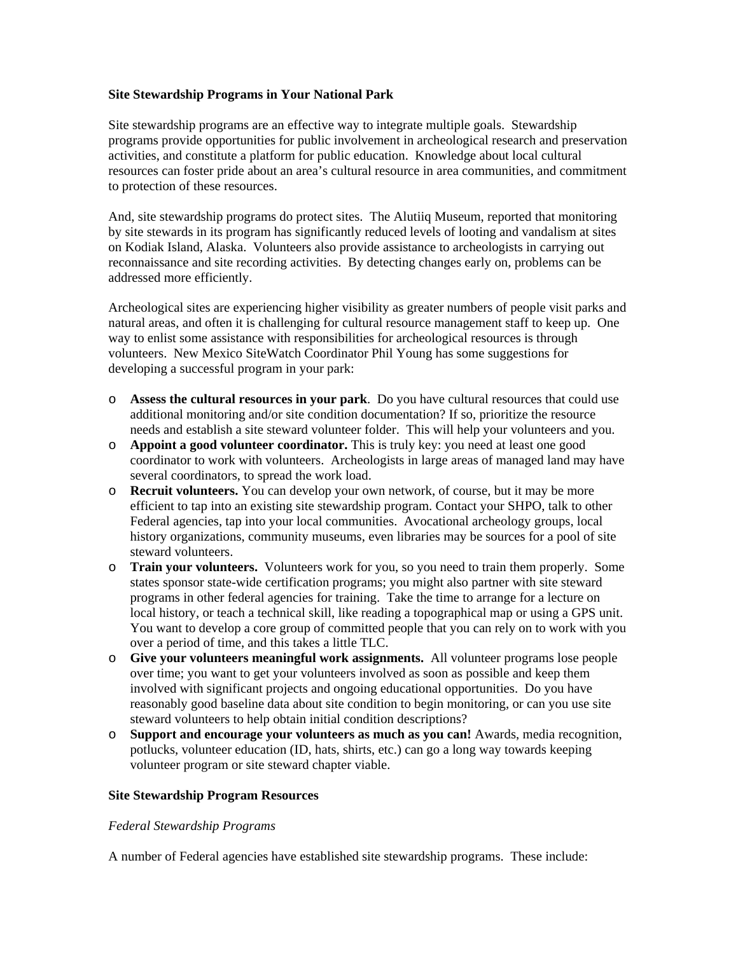### **Site Stewardship Programs in Your National Park**

Site stewardship programs are an effective way to integrate multiple goals. Stewardship programs provide opportunities for public involvement in archeological research and preservation activities, and constitute a platform for public education. Knowledge about local cultural resources can foster pride about an area's cultural resource in area communities, and commitment to protection of these resources.

And, site stewardship programs do protect sites. The Alutiiq Museum, reported that monitoring by site stewards in its program has significantly reduced levels of looting and vandalism at sites on Kodiak Island, Alaska. Volunteers also provide assistance to archeologists in carrying out reconnaissance and site recording activities. By detecting changes early on, problems can be addressed more efficiently.

Archeological sites are experiencing higher visibility as greater numbers of people visit parks and natural areas, and often it is challenging for cultural resource management staff to keep up. One way to enlist some assistance with responsibilities for archeological resources is through volunteers. New Mexico SiteWatch Coordinator Phil Young has some suggestions for developing a successful program in your park:

- o **Assess the cultural resources in your park**. Do you have cultural resources that could use additional monitoring and/or site condition documentation? If so, prioritize the resource needs and establish a site steward volunteer folder. This will help your volunteers and you.
- o **Appoint a good volunteer coordinator.** This is truly key: you need at least one good coordinator to work with volunteers. Archeologists in large areas of managed land may have several coordinators, to spread the work load.
- o **Recruit volunteers.** You can develop your own network, of course, but it may be more efficient to tap into an existing site stewardship program. Contact your SHPO, talk to other Federal agencies, tap into your local communities. Avocational archeology groups, local history organizations, community museums, even libraries may be sources for a pool of site steward volunteers.
- o **Train your volunteers.** Volunteers work for you, so you need to train them properly. Some states sponsor state-wide certification programs; you might also partner with site steward programs in other federal agencies for training. Take the time to arrange for a lecture on local history, or teach a technical skill, like reading a topographical map or using a GPS unit. You want to develop a core group of committed people that you can rely on to work with you over a period of time, and this takes a little TLC.
- o **Give your volunteers meaningful work assignments.** All volunteer programs lose people over time; you want to get your volunteers involved as soon as possible and keep them involved with significant projects and ongoing educational opportunities. Do you have reasonably good baseline data about site condition to begin monitoring, or can you use site steward volunteers to help obtain initial condition descriptions?
- o **Support and encourage your volunteers as much as you can!** Awards, media recognition, potlucks, volunteer education (ID, hats, shirts, etc.) can go a long way towards keeping volunteer program or site steward chapter viable.

## **Site Stewardship Program Resources**

### *Federal Stewardship Programs*

A number of Federal agencies have established site stewardship programs. These include: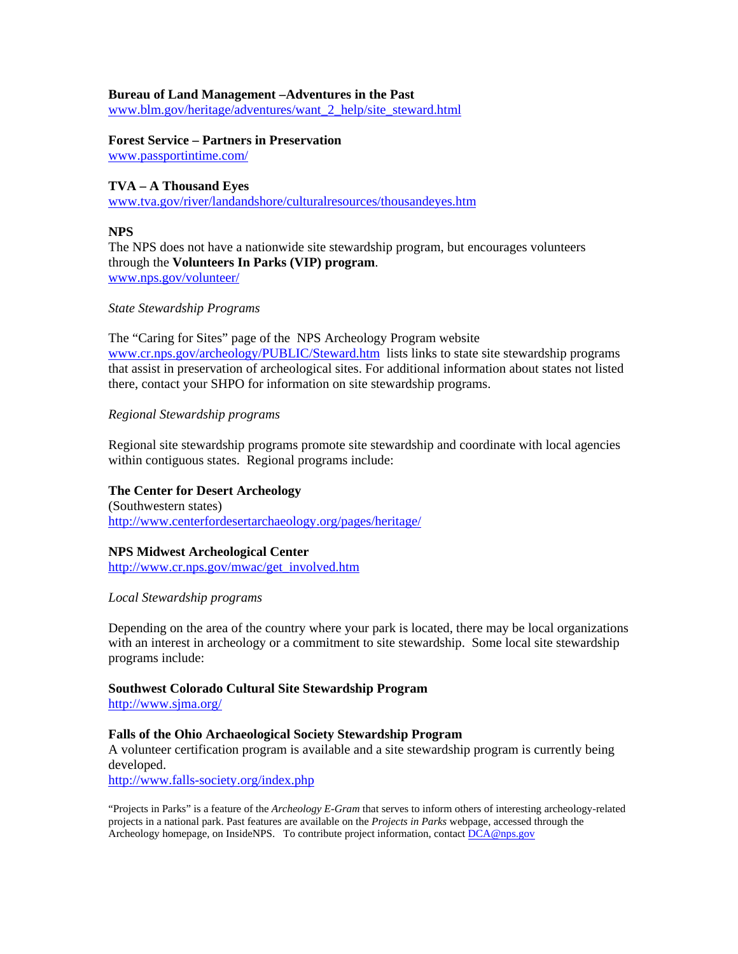#### **Bureau of Land Management –Adventures in the Past**

[www.blm.gov/heritage/adventures/want\\_2\\_help/site\\_steward.html](http://www.blm.gov/heritage/adventures/want_2_help/site_steward.html)

### **Forest Service – Partners in Preservation**

[www.passportintime.com/](http://www.passportintime.com)

### **TVA – A Thousand Eyes**

[www.tva.gov/river/landandshore/culturalresources/thousandeyes.htm](http://www.tva.gov/river/landandshore/culturalresources/thousandeyes.htm)

#### **NPS**

The NPS does not have a nationwide site stewardship program, but encourages volunteers through the **Volunteers In Parks (VIP) program**. [www.nps.gov/volunteer/](http://www.tva.gov/river/landandshore/culturalresources/thousandeyes.htm)

#### *State Stewardship Programs*

The "Caring for Sites" page of the NPS Archeology Program website [www.cr.nps.gov/archeology/PUBLIC/Steward.htm](http://www.cr.nps.gov/archeology/PUBLIC/Steward.htm) lists links to state site stewardship programs that assist in preservation of archeological sites. For additional information about states not listed there, contact your SHPO for information on site stewardship programs.

### *Regional Stewardship programs*

Regional site stewardship programs promote site stewardship and coordinate with local agencies within contiguous states. Regional programs include:

# **The Center for Desert Archeology**

(Southwestern states) <http://www.centerfordesertarchaeology.org/pages/heritage/>

#### **NPS Midwest Archeological Center**

[http://www.cr.nps.gov/mwac/get\\_involved.htm](http://www.cr.nps.gov/mwac/get_involved.htm)

#### *Local Stewardship programs*

Depending on the area of the country where your park is located, there may be local organizations with an interest in archeology or a commitment to site stewardship. Some local site stewardship programs include:

### **Southwest Colorado Cultural Site Stewardship Program**

<http://www.sjma.org/>

#### **Falls of the Ohio Archaeological Society Stewardship Program**

A volunteer certification program is available and a site stewardship program is currently being developed.

<http://www.falls-society.org/index.php>

"Projects in Parks" is a feature of the *Archeology E-Gram* that serves to inform others of interesting archeology-related projects in a national park. Past features are available on the *Projects in Parks* webpage, accessed through the Archeology homepage, on InsideNPS. To contribute project information, contact  $\underline{DCA@nps.gov}$  $\underline{DCA@nps.gov}$  $\underline{DCA@nps.gov}$